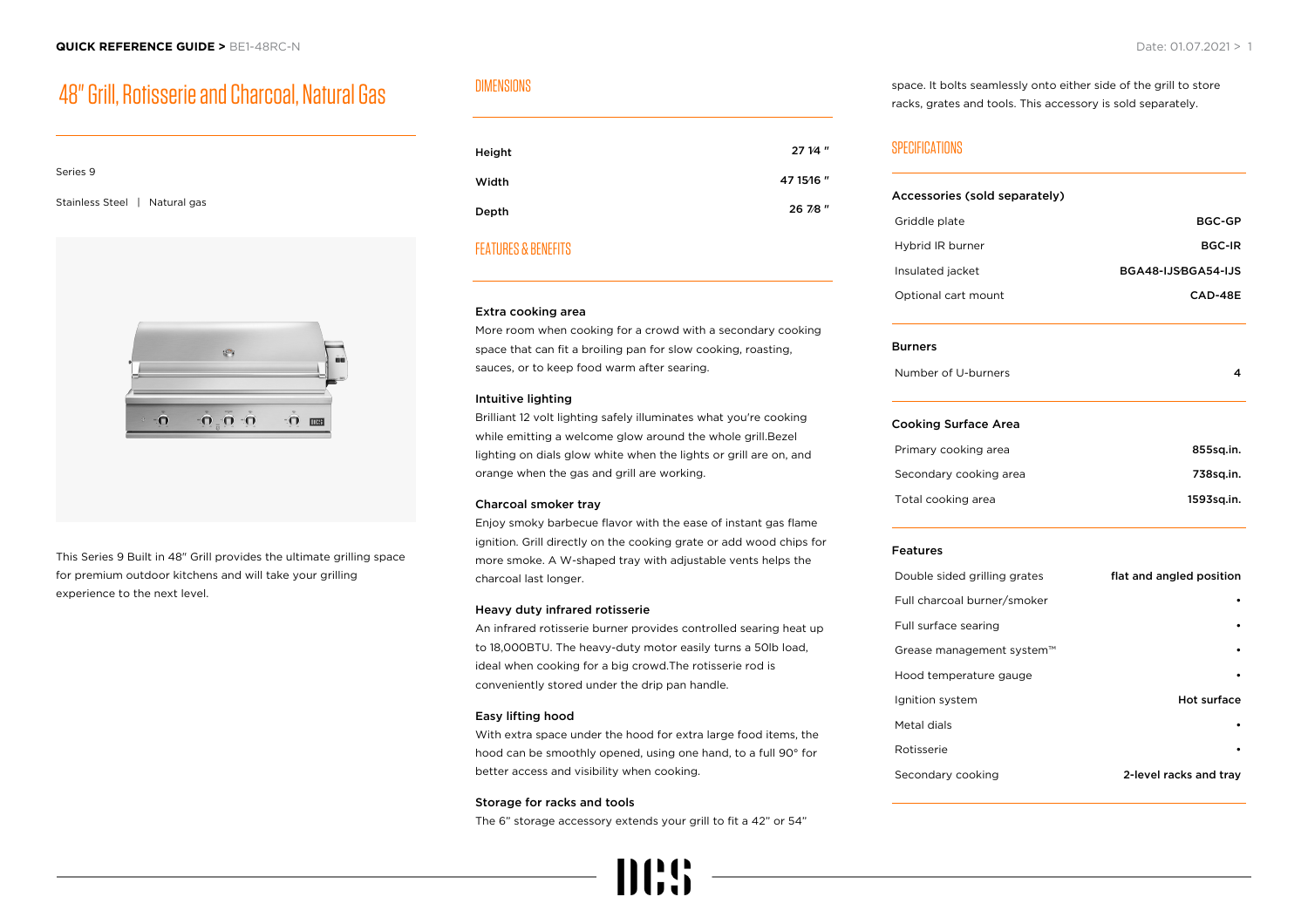## 48" Grill, Rotisserie and Charcoal, Natural Gas

# Series 9 Stainless Steel | Natural gas



This Series 9 Built in 48" Grill provides the ultimate grilling space for premium outdoor kitchens and will take your grilling experience to the next level.

## DIMENSIONS

| Height | 27 1/4 "   |
|--------|------------|
| Width  | 47 15 16 " |
| Depth  | 26 7/8"    |

## FEATURES & BENEFITS

#### Extra cooking area

More room when cooking for a crowd with a secondary cooking space that can fit a broiling pan for slow cooking, roasting, sauces, or to keep food warm after searing.

#### Intuitive lighting

Brilliant 12 volt lighting safely illuminates what you're cooking while emitting a welcome glow around the whole grill.Bezel lighting on dials glow white when the lights or grill are on, and orange when the gas and grill are working.

#### Charcoal smoker tray

Enjoy smoky barbecue flavor with the ease of instant gas flame ignition. Grill directly on the cooking grate or add wood chips for more smoke. A W-shaped tray with adjustable vents helps the charcoal last longer.

#### Heavy duty infrared rotisserie

An infrared rotisserie burner provides controlled searing heat up to 18,000BTU. The heavy-duty motor easily turns a 50lb load, ideal when cooking for a big crowd.The rotisserie rod is conveniently stored under the drip pan handle.

#### Easy lifting hood

With extra space under the hood for extra large food items, the hood can be smoothly opened, using one hand, to a full 90° for better access and visibility when cooking.

#### Storage for racks and tools

The 6" storage accessory extends your grill to fit a 42" or 54"



#### space. It bolts seamlessly onto either side of the grill to store racks, grates and tools. This accessory is sold separately.

## SPECIFICATIONS

| Accessories (sold separately) |                          |
|-------------------------------|--------------------------|
| Griddle plate                 | <b>BGC-GP</b>            |
| Hybrid IR burner              | <b>BGC-IR</b>            |
| Insulated jacket              | BGA48-IJSBGA54-IJS       |
| Optional cart mount           | CAD-48E                  |
| <b>Burners</b>                |                          |
| Number of U-burners           | 4                        |
| <b>Cooking Surface Area</b>   |                          |
| Primary cooking area          | 855sq.in.                |
| Secondary cooking area        | 738sq.in.                |
| Total cooking area            | 1593sq.in.               |
| <b>Features</b>               |                          |
| Double sided grilling grates  | flat and angled position |
| Full charcoal burner/smoker   |                          |
| Full surface searing          |                          |
| Grease management system™     |                          |
| Hood temperature gauge        |                          |
| Ignition system               | Hot surface              |
| Metal dials                   |                          |
| Rotisserie                    |                          |
| Secondary cooking             | 2-level racks and tray   |